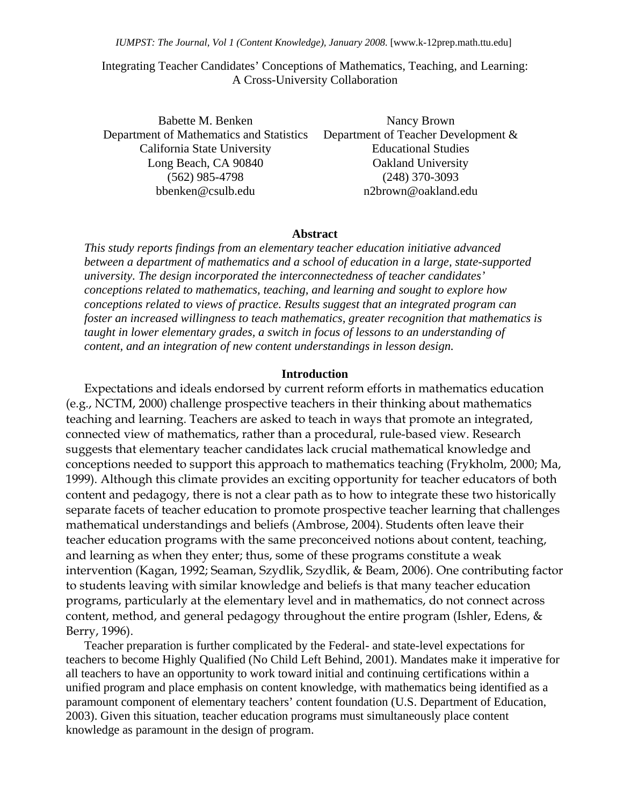# Integrating Teacher Candidates' Conceptions of Mathematics, Teaching, and Learning: A Cross-University Collaboration

Babette M. Benken Department of Mathematics and Statistics California State University Long Beach, CA 90840 (562) 985-4798 bbenken@csulb.edu

Nancy Brown Department of Teacher Development & Educational Studies Oakland University (248) 370-3093 n2brown@oakland.edu

# **Abstract**

*This study reports findings from an elementary teacher education initiative advanced between a department of mathematics and a school of education in a large, state-supported university. The design incorporated the interconnectedness of teacher candidates' conceptions related to mathematics, teaching, and learning and sought to explore how conceptions related to views of practice. Results suggest that an integrated program can foster an increased willingness to teach mathematics, greater recognition that mathematics is taught in lower elementary grades, a switch in focus of lessons to an understanding of content, and an integration of new content understandings in lesson design.* 

#### **Introduction**

Expectations and ideals endorsed by current reform efforts in mathematics education (e.g., NCTM, 2000) challenge prospective teachers in their thinking about mathematics teaching and learning. Teachers are asked to teach in ways that promote an integrated, connected view of mathematics, rather than a procedural, rule-based view. Research suggests that elementary teacher candidates lack crucial mathematical knowledge and conceptions needed to support this approach to mathematics teaching (Frykholm, 2000; Ma, 1999). Although this climate provides an exciting opportunity for teacher educators of both content and pedagogy, there is not a clear path as to how to integrate these two historically separate facets of teacher education to promote prospective teacher learning that challenges mathematical understandings and beliefs (Ambrose, 2004). Students often leave their teacher education programs with the same preconceived notions about content, teaching, and learning as when they enter; thus, some of these programs constitute a weak intervention (Kagan, 1992; Seaman, Szydlik, Szydlik, & Beam, 2006). One contributing factor to students leaving with similar knowledge and beliefs is that many teacher education programs, particularly at the elementary level and in mathematics, do not connect across content, method, and general pedagogy throughout the entire program (Ishler, Edens, & Berry, 1996).

 Teacher preparation is further complicated by the Federal- and state-level expectations for teachers to become Highly Qualified (No Child Left Behind, 2001). Mandates make it imperative for all teachers to have an opportunity to work toward initial and continuing certifications within a unified program and place emphasis on content knowledge, with mathematics being identified as a paramount component of elementary teachers' content foundation (U.S. Department of Education, 2003). Given this situation, teacher education programs must simultaneously place content knowledge as paramount in the design of program.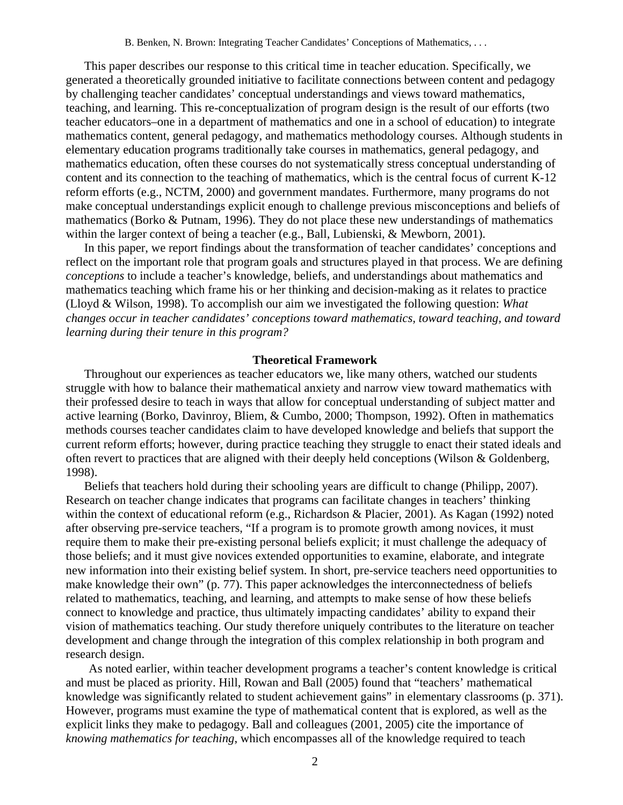This paper describes our response to this critical time in teacher education. Specifically, we generated a theoretically grounded initiative to facilitate connections between content and pedagogy by challenging teacher candidates' conceptual understandings and views toward mathematics, teaching, and learning. This re-conceptualization of program design is the result of our efforts (two teacher educators–one in a department of mathematics and one in a school of education) to integrate mathematics content, general pedagogy, and mathematics methodology courses. Although students in elementary education programs traditionally take courses in mathematics, general pedagogy, and mathematics education, often these courses do not systematically stress conceptual understanding of content and its connection to the teaching of mathematics, which is the central focus of current K-12 reform efforts (e.g., NCTM, 2000) and government mandates. Furthermore, many programs do not make conceptual understandings explicit enough to challenge previous misconceptions and beliefs of mathematics (Borko & Putnam, 1996). They do not place these new understandings of mathematics within the larger context of being a teacher (e.g., Ball, Lubienski, & Mewborn, 2001).

In this paper, we report findings about the transformation of teacher candidates' conceptions and reflect on the important role that program goals and structures played in that process. We are defining *conceptions* to include a teacher's knowledge, beliefs, and understandings about mathematics and mathematics teaching which frame his or her thinking and decision-making as it relates to practice (Lloyd & Wilson, 1998). To accomplish our aim we investigated the following question: *What changes occur in teacher candidates' conceptions toward mathematics, toward teaching, and toward learning during their tenure in this program?* 

### **Theoretical Framework**

Throughout our experiences as teacher educators we, like many others, watched our students struggle with how to balance their mathematical anxiety and narrow view toward mathematics with their professed desire to teach in ways that allow for conceptual understanding of subject matter and active learning (Borko, Davinroy, Bliem, & Cumbo, 2000; Thompson, 1992). Often in mathematics methods courses teacher candidates claim to have developed knowledge and beliefs that support the current reform efforts; however, during practice teaching they struggle to enact their stated ideals and often revert to practices that are aligned with their deeply held conceptions (Wilson & Goldenberg, 1998).

Beliefs that teachers hold during their schooling years are difficult to change (Philipp, 2007). Research on teacher change indicates that programs can facilitate changes in teachers' thinking within the context of educational reform (e.g., Richardson & Placier, 2001). As Kagan (1992) noted after observing pre-service teachers, "If a program is to promote growth among novices, it must require them to make their pre-existing personal beliefs explicit; it must challenge the adequacy of those beliefs; and it must give novices extended opportunities to examine, elaborate, and integrate new information into their existing belief system. In short, pre-service teachers need opportunities to make knowledge their own" (p. 77). This paper acknowledges the interconnectedness of beliefs related to mathematics, teaching, and learning, and attempts to make sense of how these beliefs connect to knowledge and practice, thus ultimately impacting candidates' ability to expand their vision of mathematics teaching. Our study therefore uniquely contributes to the literature on teacher development and change through the integration of this complex relationship in both program and research design.

As noted earlier, within teacher development programs a teacher's content knowledge is critical and must be placed as priority. Hill, Rowan and Ball (2005) found that "teachers' mathematical knowledge was significantly related to student achievement gains" in elementary classrooms (p. 371). However, programs must examine the type of mathematical content that is explored, as well as the explicit links they make to pedagogy. Ball and colleagues (2001, 2005) cite the importance of *knowing mathematics for teaching*, which encompasses all of the knowledge required to teach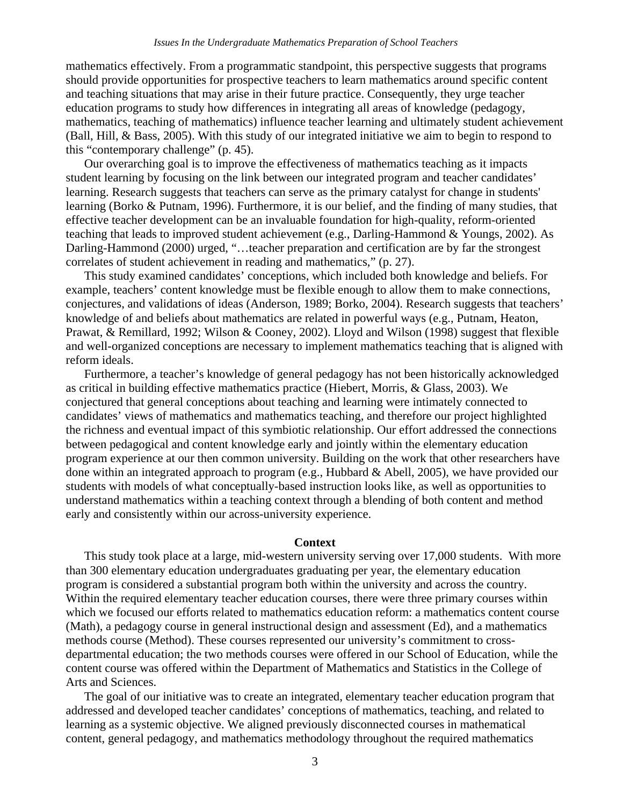mathematics effectively. From a programmatic standpoint, this perspective suggests that programs should provide opportunities for prospective teachers to learn mathematics around specific content and teaching situations that may arise in their future practice. Consequently, they urge teacher education programs to study how differences in integrating all areas of knowledge (pedagogy, mathematics, teaching of mathematics) influence teacher learning and ultimately student achievement (Ball, Hill, & Bass, 2005). With this study of our integrated initiative we aim to begin to respond to this "contemporary challenge" (p. 45).

Our overarching goal is to improve the effectiveness of mathematics teaching as it impacts student learning by focusing on the link between our integrated program and teacher candidates' learning. Research suggests that teachers can serve as the primary catalyst for change in students' learning (Borko & Putnam, 1996). Furthermore, it is our belief, and the finding of many studies, that effective teacher development can be an invaluable foundation for high-quality, reform-oriented teaching that leads to improved student achievement (e.g., Darling-Hammond & Youngs, 2002). As Darling-Hammond (2000) urged, "...teacher preparation and certification are by far the strongest correlates of student achievement in reading and mathematics," (p. 27).

This study examined candidates' conceptions, which included both knowledge and beliefs. For example, teachers' content knowledge must be flexible enough to allow them to make connections, conjectures, and validations of ideas (Anderson, 1989; Borko, 2004). Research suggests that teachers' knowledge of and beliefs about mathematics are related in powerful ways (e.g., Putnam, Heaton, Prawat, & Remillard, 1992; Wilson & Cooney, 2002). Lloyd and Wilson (1998) suggest that flexible and well-organized conceptions are necessary to implement mathematics teaching that is aligned with reform ideals.

Furthermore, a teacher's knowledge of general pedagogy has not been historically acknowledged as critical in building effective mathematics practice (Hiebert, Morris, & Glass, 2003). We conjectured that general conceptions about teaching and learning were intimately connected to candidates' views of mathematics and mathematics teaching, and therefore our project highlighted the richness and eventual impact of this symbiotic relationship. Our effort addressed the connections between pedagogical and content knowledge early and jointly within the elementary education program experience at our then common university. Building on the work that other researchers have done within an integrated approach to program (e.g., Hubbard & Abell, 2005), we have provided our students with models of what conceptually-based instruction looks like, as well as opportunities to understand mathematics within a teaching context through a blending of both content and method early and consistently within our across-university experience.

### **Context**

This study took place at a large, mid-western university serving over 17,000 students. With more than 300 elementary education undergraduates graduating per year, the elementary education program is considered a substantial program both within the university and across the country. Within the required elementary teacher education courses, there were three primary courses within which we focused our efforts related to mathematics education reform: a mathematics content course (Math), a pedagogy course in general instructional design and assessment (Ed), and a mathematics methods course (Method). These courses represented our university's commitment to crossdepartmental education; the two methods courses were offered in our School of Education, while the content course was offered within the Department of Mathematics and Statistics in the College of Arts and Sciences.

The goal of our initiative was to create an integrated, elementary teacher education program that addressed and developed teacher candidates' conceptions of mathematics, teaching, and related to learning as a systemic objective. We aligned previously disconnected courses in mathematical content, general pedagogy, and mathematics methodology throughout the required mathematics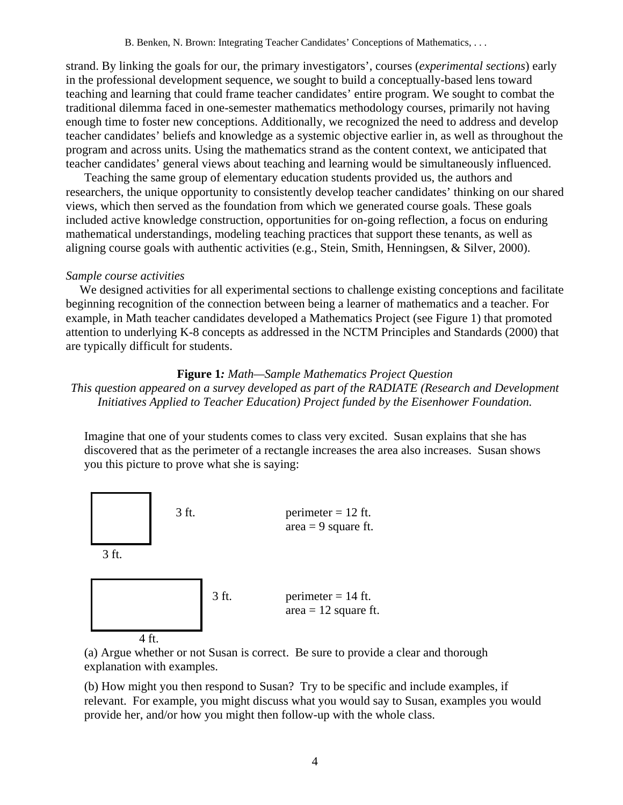B. Benken, N. Brown: Integrating Teacher Candidates' Conceptions of Mathematics, . . .

strand. By linking the goals for our, the primary investigators', courses (*experimental sections*) early in the professional development sequence, we sought to build a conceptually-based lens toward teaching and learning that could frame teacher candidates' entire program. We sought to combat the traditional dilemma faced in one-semester mathematics methodology courses, primarily not having enough time to foster new conceptions. Additionally, we recognized the need to address and develop teacher candidates' beliefs and knowledge as a systemic objective earlier in, as well as throughout the program and across units. Using the mathematics strand as the content context, we anticipated that teacher candidates' general views about teaching and learning would be simultaneously influenced.

Teaching the same group of elementary education students provided us, the authors and researchers, the unique opportunity to consistently develop teacher candidates' thinking on our shared views, which then served as the foundation from which we generated course goals. These goals included active knowledge construction, opportunities for on-going reflection, a focus on enduring mathematical understandings, modeling teaching practices that support these tenants, as well as aligning course goals with authentic activities (e.g., Stein, Smith, Henningsen, & Silver, 2000).

# *Sample course activities*

We designed activities for all experimental sections to challenge existing conceptions and facilitate beginning recognition of the connection between being a learner of mathematics and a teacher. For example, in Math teacher candidates developed a Mathematics Project (see Figure 1) that promoted attention to underlying K-8 concepts as addressed in the NCTM Principles and Standards (2000) that are typically difficult for students.

# **Figure 1***: Math—Sample Mathematics Project Question This question appeared on a survey developed as part of the RADIATE (Research and Development Initiatives Applied to Teacher Education) Project funded by the Eisenhower Foundation.*

Imagine that one of your students comes to class very excited. Susan explains that she has discovered that as the perimeter of a rectangle increases the area also increases. Susan shows you this picture to prove what she is saying:



(a) Argue whether or not Susan is correct. Be sure to provide a clear and thorough explanation with examples.

(b) How might you then respond to Susan? Try to be specific and include examples, if relevant. For example, you might discuss what you would say to Susan, examples you would provide her, and/or how you might then follow-up with the whole class.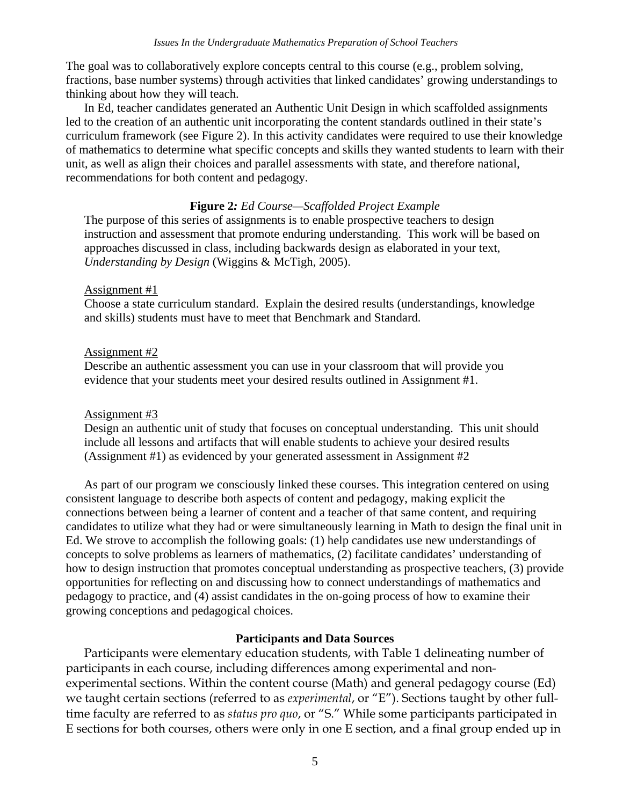The goal was to collaboratively explore concepts central to this course (e.g., problem solving, fractions, base number systems) through activities that linked candidates' growing understandings to thinking about how they will teach.

In Ed, teacher candidates generated an Authentic Unit Design in which scaffolded assignments led to the creation of an authentic unit incorporating the content standards outlined in their state's curriculum framework (see Figure 2). In this activity candidates were required to use their knowledge of mathematics to determine what specific concepts and skills they wanted students to learn with their unit, as well as align their choices and parallel assessments with state, and therefore national, recommendations for both content and pedagogy.

# **Figure 2***: Ed Course—Scaffolded Project Example*

The purpose of this series of assignments is to enable prospective teachers to design instruction and assessment that promote enduring understanding. This work will be based on approaches discussed in class, including backwards design as elaborated in your text, *Understanding by Design* (Wiggins & McTigh, 2005).

# Assignment #1

Choose a state curriculum standard. Explain the desired results (understandings, knowledge and skills) students must have to meet that Benchmark and Standard.

# Assignment #2

Describe an authentic assessment you can use in your classroom that will provide you evidence that your students meet your desired results outlined in Assignment #1.

# Assignment #3

Design an authentic unit of study that focuses on conceptual understanding. This unit should include all lessons and artifacts that will enable students to achieve your desired results (Assignment #1) as evidenced by your generated assessment in Assignment #2

As part of our program we consciously linked these courses. This integration centered on using consistent language to describe both aspects of content and pedagogy, making explicit the connections between being a learner of content and a teacher of that same content, and requiring candidates to utilize what they had or were simultaneously learning in Math to design the final unit in Ed. We strove to accomplish the following goals: (1) help candidates use new understandings of concepts to solve problems as learners of mathematics, (2) facilitate candidates' understanding of how to design instruction that promotes conceptual understanding as prospective teachers, (3) provide opportunities for reflecting on and discussing how to connect understandings of mathematics and pedagogy to practice, and (4) assist candidates in the on-going process of how to examine their growing conceptions and pedagogical choices.

# **Participants and Data Sources**

Participants were elementary education students, with Table 1 delineating number of participants in each course, including differences among experimental and nonexperimental sections. Within the content course (Math) and general pedagogy course (Ed) we taught certain sections (referred to as *experimental*, or "E"). Sections taught by other fulltime faculty are referred to as *status pro quo*, or "S." While some participants participated in E sections for both courses, others were only in one E section, and a final group ended up in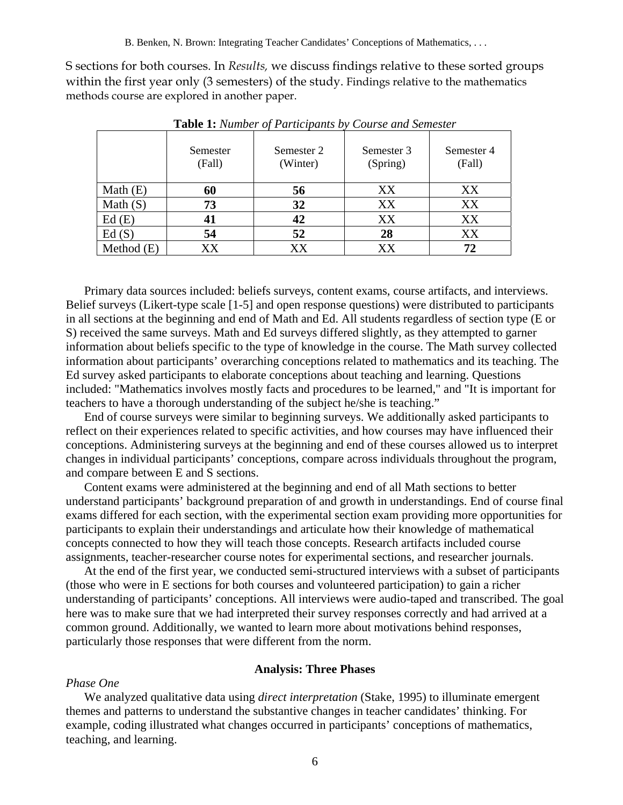S sections for both courses. In *Results,* we discuss findings relative to these sorted groups within the first year only (3 semesters) of the study. Findings relative to the mathematics methods course are explored in another paper.

|              | Semester<br>(Fall) | Semester 2<br>(Winter) | Semester 3<br>(Spring) | Semester 4<br>(Fall) |
|--------------|--------------------|------------------------|------------------------|----------------------|
| Math $(E)$   | 60                 | 56                     | XX                     | XX                   |
| Math $(S)$   | 73                 | 32                     | XX                     | XX                   |
| Ed(E)        | 41                 | 42                     | XX                     | XX                   |
| Ed(S)        | 54                 | 52                     | 28                     | XX                   |
| Method $(E)$ | XX                 | XX                     | XX                     |                      |

**Table 1:** *Number of Participants by Course and Semester*

Primary data sources included: beliefs surveys, content exams, course artifacts, and interviews. Belief surveys (Likert-type scale [1-5] and open response questions) were distributed to participants in all sections at the beginning and end of Math and Ed. All students regardless of section type (E or S) received the same surveys. Math and Ed surveys differed slightly, as they attempted to garner information about beliefs specific to the type of knowledge in the course. The Math survey collected information about participants' overarching conceptions related to mathematics and its teaching. The Ed survey asked participants to elaborate conceptions about teaching and learning. Questions included: "Mathematics involves mostly facts and procedures to be learned," and "It is important for teachers to have a thorough understanding of the subject he/she is teaching."

End of course surveys were similar to beginning surveys. We additionally asked participants to reflect on their experiences related to specific activities, and how courses may have influenced their conceptions. Administering surveys at the beginning and end of these courses allowed us to interpret changes in individual participants' conceptions, compare across individuals throughout the program, and compare between E and S sections.

Content exams were administered at the beginning and end of all Math sections to better understand participants' background preparation of and growth in understandings. End of course final exams differed for each section, with the experimental section exam providing more opportunities for participants to explain their understandings and articulate how their knowledge of mathematical concepts connected to how they will teach those concepts. Research artifacts included course assignments, teacher-researcher course notes for experimental sections, and researcher journals.

At the end of the first year, we conducted semi-structured interviews with a subset of participants (those who were in E sections for both courses and volunteered participation) to gain a richer understanding of participants' conceptions. All interviews were audio-taped and transcribed. The goal here was to make sure that we had interpreted their survey responses correctly and had arrived at a common ground. Additionally, we wanted to learn more about motivations behind responses, particularly those responses that were different from the norm.

### **Analysis: Three Phases**

#### *Phase One*

We analyzed qualitative data using *direct interpretation* (Stake, 1995) to illuminate emergent themes and patterns to understand the substantive changes in teacher candidates' thinking. For example, coding illustrated what changes occurred in participants' conceptions of mathematics, teaching, and learning.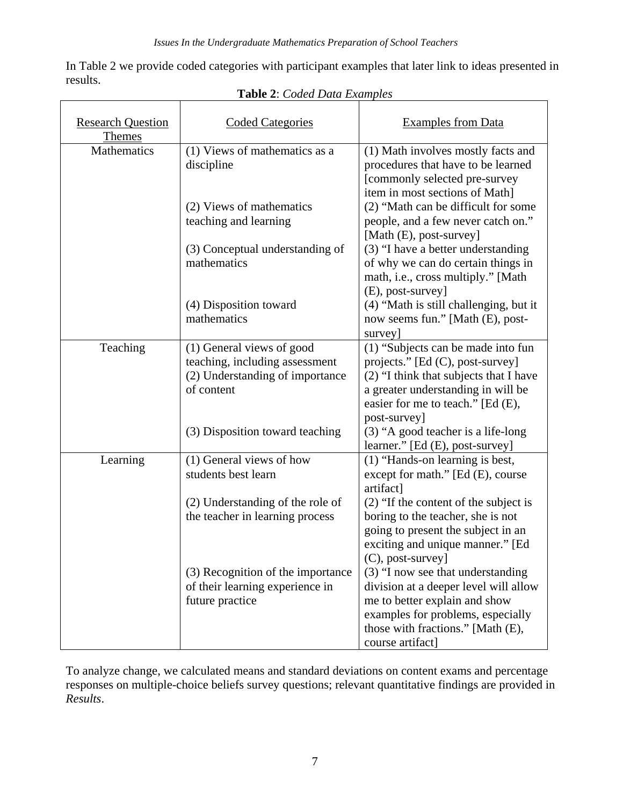In Table 2 we provide coded categories with participant examples that later link to ideas presented in results.

| <b>Research Question</b>     | <b>Coded Categories</b>                                           | <b>Examples from Data</b>                                                  |  |
|------------------------------|-------------------------------------------------------------------|----------------------------------------------------------------------------|--|
| <b>Themes</b><br>Mathematics | (1) Views of mathematics as a                                     | (1) Math involves mostly facts and                                         |  |
|                              | discipline                                                        | procedures that have to be learned<br>[commonly selected pre-survey        |  |
|                              |                                                                   | item in most sections of Math]                                             |  |
|                              | (2) Views of mathematics                                          | (2) "Math can be difficult for some                                        |  |
|                              | teaching and learning                                             | people, and a few never catch on."<br>[Math (E), post-survey]              |  |
|                              | (3) Conceptual understanding of                                   | (3) "I have a better understanding                                         |  |
|                              | mathematics                                                       | of why we can do certain things in<br>math, i.e., cross multiply." [Math   |  |
|                              |                                                                   | (E), post-survey]                                                          |  |
|                              | (4) Disposition toward<br>mathematics                             | (4) "Math is still challenging, but it<br>now seems fun." [Math (E), post- |  |
|                              |                                                                   | survey]                                                                    |  |
| Teaching                     | (1) General views of good                                         | (1) "Subjects can be made into fun                                         |  |
|                              | teaching, including assessment<br>(2) Understanding of importance | projects." [Ed (C), post-survey]<br>(2) "I think that subjects that I have |  |
|                              | of content                                                        | a greater understanding in will be                                         |  |
|                              |                                                                   | easier for me to teach." [Ed (E),<br>post-survey]                          |  |
|                              | (3) Disposition toward teaching                                   | (3) "A good teacher is a life-long                                         |  |
|                              |                                                                   | learner." [Ed (E), post-survey]                                            |  |
| Learning                     | (1) General views of how                                          | (1) "Hands-on learning is best,                                            |  |
|                              | students best learn                                               | except for math." $[Ed (E), course]$<br>artifact]                          |  |
|                              | (2) Understanding of the role of                                  | $(2)$ "If the content of the subject is                                    |  |
|                              | the teacher in learning process                                   | boring to the teacher, she is not                                          |  |
|                              |                                                                   | going to present the subject in an<br>exciting and unique manner." [Ed     |  |
|                              |                                                                   | $(C)$ , post-survey]                                                       |  |
|                              | (3) Recognition of the importance                                 | (3) "I now see that understanding                                          |  |
|                              | of their learning experience in<br>future practice                | division at a deeper level will allow<br>me to better explain and show     |  |
|                              |                                                                   | examples for problems, especially                                          |  |
|                              |                                                                   | those with fractions." [Math (E),                                          |  |
|                              |                                                                   | course artifact]                                                           |  |

**Table 2**: *Coded Data Examples*

To analyze change, we calculated means and standard deviations on content exams and percentage responses on multiple-choice beliefs survey questions; relevant quantitative findings are provided in *Results*.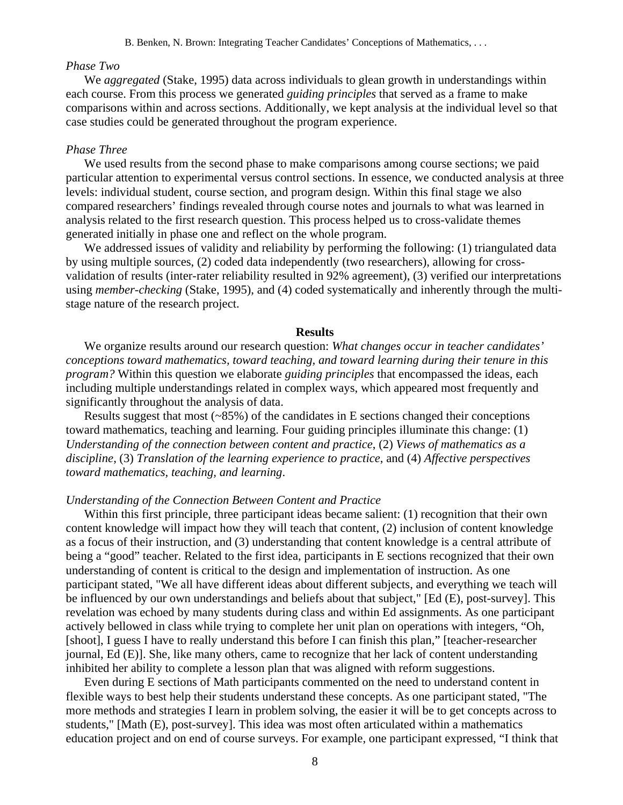#### *Phase Two*

We *aggregated* (Stake, 1995) data across individuals to glean growth in understandings within each course. From this process we generated *guiding principles* that served as a frame to make comparisons within and across sections. Additionally, we kept analysis at the individual level so that case studies could be generated throughout the program experience.

### *Phase Three*

We used results from the second phase to make comparisons among course sections; we paid particular attention to experimental versus control sections. In essence, we conducted analysis at three levels: individual student, course section, and program design. Within this final stage we also compared researchers' findings revealed through course notes and journals to what was learned in analysis related to the first research question. This process helped us to cross-validate themes generated initially in phase one and reflect on the whole program.

We addressed issues of validity and reliability by performing the following: (1) triangulated data by using multiple sources, (2) coded data independently (two researchers), allowing for crossvalidation of results (inter-rater reliability resulted in 92% agreement), (3) verified our interpretations using *member-checking* (Stake, 1995), and (4) coded systematically and inherently through the multistage nature of the research project.

### **Results**

We organize results around our research question: *What changes occur in teacher candidates' conceptions toward mathematics, toward teaching, and toward learning during their tenure in this program?* Within this question we elaborate *guiding principles* that encompassed the ideas, each including multiple understandings related in complex ways, which appeared most frequently and significantly throughout the analysis of data.

Results suggest that most (~85%) of the candidates in E sections changed their conceptions toward mathematics, teaching and learning. Four guiding principles illuminate this change: (1) *Understanding of the connection between content and practice*, (2) *Views of mathematics as a discipline*, (3) *Translation of the learning experience to practice*, and (4) *Affective perspectives toward mathematics, teaching, and learning*.

# *Understanding of the Connection Between Content and Practice*

Within this first principle, three participant ideas became salient: (1) recognition that their own content knowledge will impact how they will teach that content, (2) inclusion of content knowledge as a focus of their instruction, and (3) understanding that content knowledge is a central attribute of being a "good" teacher. Related to the first idea, participants in E sections recognized that their own understanding of content is critical to the design and implementation of instruction. As one participant stated, "We all have different ideas about different subjects, and everything we teach will be influenced by our own understandings and beliefs about that subject," [Ed (E), post-survey]. This revelation was echoed by many students during class and within Ed assignments. As one participant actively bellowed in class while trying to complete her unit plan on operations with integers, "Oh, [shoot], I guess I have to really understand this before I can finish this plan," [teacher-researcher journal, Ed (E)]. She, like many others, came to recognize that her lack of content understanding inhibited her ability to complete a lesson plan that was aligned with reform suggestions.

Even during E sections of Math participants commented on the need to understand content in flexible ways to best help their students understand these concepts. As one participant stated, "The more methods and strategies I learn in problem solving, the easier it will be to get concepts across to students," [Math (E), post-survey]. This idea was most often articulated within a mathematics education project and on end of course surveys. For example, one participant expressed, "I think that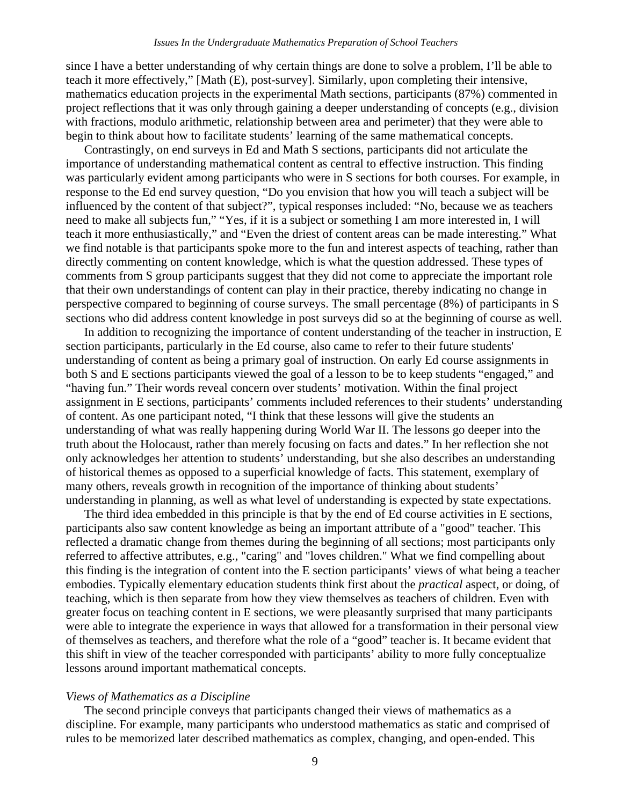since I have a better understanding of why certain things are done to solve a problem, I'll be able to teach it more effectively," [Math (E), post-survey]. Similarly, upon completing their intensive, mathematics education projects in the experimental Math sections, participants (87%) commented in project reflections that it was only through gaining a deeper understanding of concepts (e.g., division with fractions, modulo arithmetic, relationship between area and perimeter) that they were able to begin to think about how to facilitate students' learning of the same mathematical concepts.

Contrastingly, on end surveys in Ed and Math S sections, participants did not articulate the importance of understanding mathematical content as central to effective instruction. This finding was particularly evident among participants who were in S sections for both courses. For example, in response to the Ed end survey question, "Do you envision that how you will teach a subject will be influenced by the content of that subject?", typical responses included: "No, because we as teachers need to make all subjects fun," "Yes, if it is a subject or something I am more interested in, I will teach it more enthusiastically," and "Even the driest of content areas can be made interesting." What we find notable is that participants spoke more to the fun and interest aspects of teaching, rather than directly commenting on content knowledge, which is what the question addressed. These types of comments from S group participants suggest that they did not come to appreciate the important role that their own understandings of content can play in their practice, thereby indicating no change in perspective compared to beginning of course surveys. The small percentage (8%) of participants in S sections who did address content knowledge in post surveys did so at the beginning of course as well.

In addition to recognizing the importance of content understanding of the teacher in instruction, E section participants, particularly in the Ed course, also came to refer to their future students' understanding of content as being a primary goal of instruction. On early Ed course assignments in both S and E sections participants viewed the goal of a lesson to be to keep students "engaged," and "having fun." Their words reveal concern over students' motivation. Within the final project assignment in E sections, participants' comments included references to their students' understanding of content. As one participant noted, "I think that these lessons will give the students an understanding of what was really happening during World War II. The lessons go deeper into the truth about the Holocaust, rather than merely focusing on facts and dates." In her reflection she not only acknowledges her attention to students' understanding, but she also describes an understanding of historical themes as opposed to a superficial knowledge of facts. This statement, exemplary of many others, reveals growth in recognition of the importance of thinking about students' understanding in planning, as well as what level of understanding is expected by state expectations.

The third idea embedded in this principle is that by the end of Ed course activities in E sections, participants also saw content knowledge as being an important attribute of a "good" teacher. This reflected a dramatic change from themes during the beginning of all sections; most participants only referred to affective attributes, e.g., "caring" and "loves children." What we find compelling about this finding is the integration of content into the E section participants' views of what being a teacher embodies. Typically elementary education students think first about the *practical* aspect, or doing, of teaching, which is then separate from how they view themselves as teachers of children. Even with greater focus on teaching content in E sections, we were pleasantly surprised that many participants were able to integrate the experience in ways that allowed for a transformation in their personal view of themselves as teachers, and therefore what the role of a "good" teacher is. It became evident that this shift in view of the teacher corresponded with participants' ability to more fully conceptualize lessons around important mathematical concepts.

#### *Views of Mathematics as a Discipline*

The second principle conveys that participants changed their views of mathematics as a discipline. For example, many participants who understood mathematics as static and comprised of rules to be memorized later described mathematics as complex, changing, and open-ended. This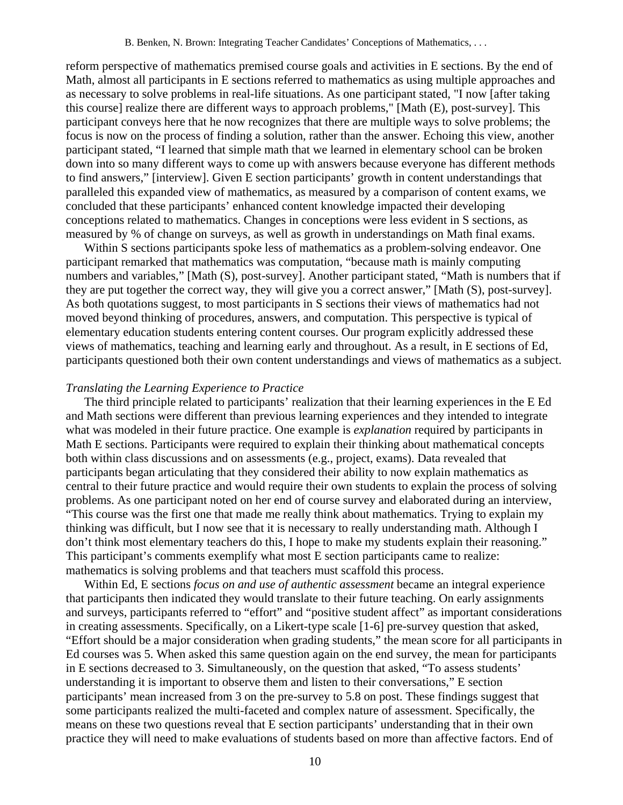reform perspective of mathematics premised course goals and activities in E sections. By the end of Math, almost all participants in E sections referred to mathematics as using multiple approaches and as necessary to solve problems in real-life situations. As one participant stated, "I now [after taking this course] realize there are different ways to approach problems," [Math (E), post-survey]. This participant conveys here that he now recognizes that there are multiple ways to solve problems; the focus is now on the process of finding a solution, rather than the answer. Echoing this view, another participant stated, "I learned that simple math that we learned in elementary school can be broken down into so many different ways to come up with answers because everyone has different methods to find answers," [interview]. Given E section participants' growth in content understandings that paralleled this expanded view of mathematics, as measured by a comparison of content exams, we concluded that these participants' enhanced content knowledge impacted their developing conceptions related to mathematics. Changes in conceptions were less evident in S sections, as measured by % of change on surveys, as well as growth in understandings on Math final exams.

Within S sections participants spoke less of mathematics as a problem-solving endeavor. One participant remarked that mathematics was computation, "because math is mainly computing numbers and variables," [Math (S), post-survey]. Another participant stated, "Math is numbers that if they are put together the correct way, they will give you a correct answer," [Math (S), post-survey]. As both quotations suggest, to most participants in S sections their views of mathematics had not moved beyond thinking of procedures, answers, and computation. This perspective is typical of elementary education students entering content courses. Our program explicitly addressed these views of mathematics, teaching and learning early and throughout. As a result, in E sections of Ed, participants questioned both their own content understandings and views of mathematics as a subject.

## *Translating the Learning Experience to Practice*

The third principle related to participants' realization that their learning experiences in the E Ed and Math sections were different than previous learning experiences and they intended to integrate what was modeled in their future practice. One example is *explanation* required by participants in Math E sections. Participants were required to explain their thinking about mathematical concepts both within class discussions and on assessments (e.g., project, exams). Data revealed that participants began articulating that they considered their ability to now explain mathematics as central to their future practice and would require their own students to explain the process of solving problems. As one participant noted on her end of course survey and elaborated during an interview, "This course was the first one that made me really think about mathematics. Trying to explain my thinking was difficult, but I now see that it is necessary to really understanding math. Although I don't think most elementary teachers do this, I hope to make my students explain their reasoning." This participant's comments exemplify what most E section participants came to realize: mathematics is solving problems and that teachers must scaffold this process.

Within Ed, E sections *focus on and use of authentic assessment* became an integral experience that participants then indicated they would translate to their future teaching. On early assignments and surveys, participants referred to "effort" and "positive student affect" as important considerations in creating assessments. Specifically, on a Likert-type scale [1-6] pre-survey question that asked, "Effort should be a major consideration when grading students," the mean score for all participants in Ed courses was 5. When asked this same question again on the end survey, the mean for participants in E sections decreased to 3. Simultaneously, on the question that asked, "To assess students' understanding it is important to observe them and listen to their conversations," E section participants' mean increased from 3 on the pre-survey to 5.8 on post. These findings suggest that some participants realized the multi-faceted and complex nature of assessment. Specifically, the means on these two questions reveal that E section participants' understanding that in their own practice they will need to make evaluations of students based on more than affective factors. End of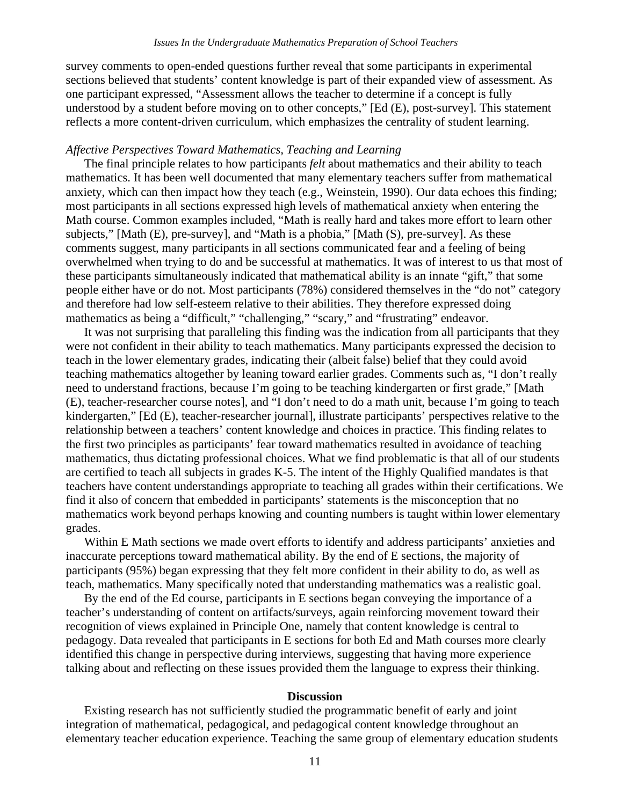survey comments to open-ended questions further reveal that some participants in experimental sections believed that students' content knowledge is part of their expanded view of assessment. As one participant expressed, "Assessment allows the teacher to determine if a concept is fully understood by a student before moving on to other concepts," [Ed (E), post-survey]. This statement reflects a more content-driven curriculum, which emphasizes the centrality of student learning.

### *Affective Perspectives Toward Mathematics, Teaching and Learning*

The final principle relates to how participants *felt* about mathematics and their ability to teach mathematics. It has been well documented that many elementary teachers suffer from mathematical anxiety, which can then impact how they teach (e.g., Weinstein, 1990). Our data echoes this finding; most participants in all sections expressed high levels of mathematical anxiety when entering the Math course. Common examples included, "Math is really hard and takes more effort to learn other subjects," [Math (E), pre-survey], and "Math is a phobia," [Math (S), pre-survey]. As these comments suggest, many participants in all sections communicated fear and a feeling of being overwhelmed when trying to do and be successful at mathematics. It was of interest to us that most of these participants simultaneously indicated that mathematical ability is an innate "gift," that some people either have or do not. Most participants (78%) considered themselves in the "do not" category and therefore had low self-esteem relative to their abilities. They therefore expressed doing mathematics as being a "difficult," "challenging," "scary," and "frustrating" endeavor.

It was not surprising that paralleling this finding was the indication from all participants that they were not confident in their ability to teach mathematics. Many participants expressed the decision to teach in the lower elementary grades, indicating their (albeit false) belief that they could avoid teaching mathematics altogether by leaning toward earlier grades. Comments such as, "I don't really need to understand fractions, because I'm going to be teaching kindergarten or first grade," [Math (E), teacher-researcher course notes], and "I don't need to do a math unit, because I'm going to teach kindergarten," [Ed (E), teacher-researcher journal], illustrate participants' perspectives relative to the relationship between a teachers' content knowledge and choices in practice. This finding relates to the first two principles as participants' fear toward mathematics resulted in avoidance of teaching mathematics, thus dictating professional choices. What we find problematic is that all of our students are certified to teach all subjects in grades K-5. The intent of the Highly Qualified mandates is that teachers have content understandings appropriate to teaching all grades within their certifications. We find it also of concern that embedded in participants' statements is the misconception that no mathematics work beyond perhaps knowing and counting numbers is taught within lower elementary grades.

Within E Math sections we made overt efforts to identify and address participants' anxieties and inaccurate perceptions toward mathematical ability. By the end of E sections, the majority of participants (95%) began expressing that they felt more confident in their ability to do, as well as teach, mathematics. Many specifically noted that understanding mathematics was a realistic goal.

By the end of the Ed course, participants in E sections began conveying the importance of a teacher's understanding of content on artifacts/surveys, again reinforcing movement toward their recognition of views explained in Principle One, namely that content knowledge is central to pedagogy. Data revealed that participants in E sections for both Ed and Math courses more clearly identified this change in perspective during interviews, suggesting that having more experience talking about and reflecting on these issues provided them the language to express their thinking.

## **Discussion**

Existing research has not sufficiently studied the programmatic benefit of early and joint integration of mathematical, pedagogical, and pedagogical content knowledge throughout an elementary teacher education experience. Teaching the same group of elementary education students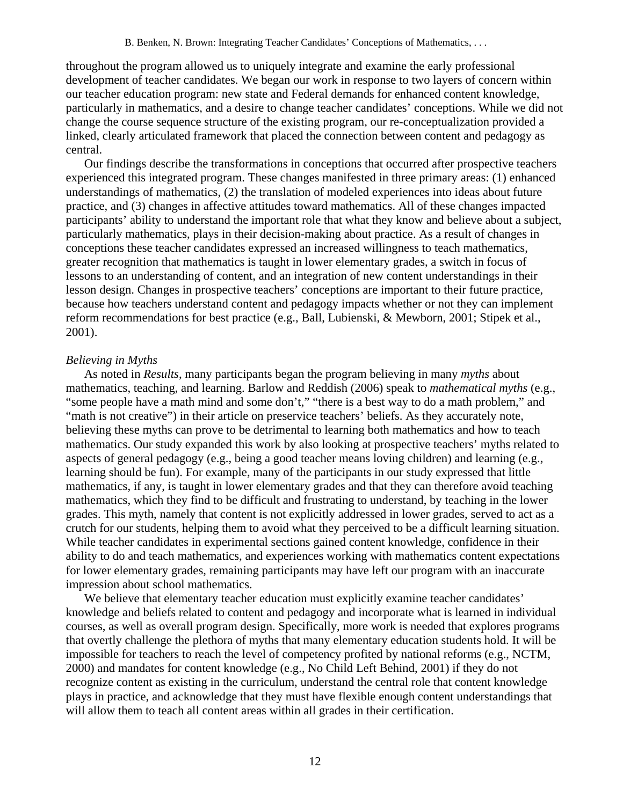throughout the program allowed us to uniquely integrate and examine the early professional development of teacher candidates. We began our work in response to two layers of concern within our teacher education program: new state and Federal demands for enhanced content knowledge, particularly in mathematics, and a desire to change teacher candidates' conceptions. While we did not change the course sequence structure of the existing program, our re-conceptualization provided a linked, clearly articulated framework that placed the connection between content and pedagogy as central.

Our findings describe the transformations in conceptions that occurred after prospective teachers experienced this integrated program. These changes manifested in three primary areas: (1) enhanced understandings of mathematics, (2) the translation of modeled experiences into ideas about future practice, and (3) changes in affective attitudes toward mathematics. All of these changes impacted participants' ability to understand the important role that what they know and believe about a subject, particularly mathematics, plays in their decision-making about practice. As a result of changes in conceptions these teacher candidates expressed an increased willingness to teach mathematics, greater recognition that mathematics is taught in lower elementary grades, a switch in focus of lessons to an understanding of content, and an integration of new content understandings in their lesson design. Changes in prospective teachers' conceptions are important to their future practice, because how teachers understand content and pedagogy impacts whether or not they can implement reform recommendations for best practice (e.g., Ball, Lubienski, & Mewborn, 2001; Stipek et al., 2001).

# *Believing in Myths*

As noted in *Results*, many participants began the program believing in many *myths* about mathematics, teaching, and learning. Barlow and Reddish (2006) speak to *mathematical myths* (e.g., "some people have a math mind and some don't," "there is a best way to do a math problem," and "math is not creative") in their article on preservice teachers' beliefs. As they accurately note, believing these myths can prove to be detrimental to learning both mathematics and how to teach mathematics. Our study expanded this work by also looking at prospective teachers' myths related to aspects of general pedagogy (e.g., being a good teacher means loving children) and learning (e.g., learning should be fun). For example, many of the participants in our study expressed that little mathematics, if any, is taught in lower elementary grades and that they can therefore avoid teaching mathematics, which they find to be difficult and frustrating to understand, by teaching in the lower grades. This myth, namely that content is not explicitly addressed in lower grades, served to act as a crutch for our students, helping them to avoid what they perceived to be a difficult learning situation. While teacher candidates in experimental sections gained content knowledge, confidence in their ability to do and teach mathematics, and experiences working with mathematics content expectations for lower elementary grades, remaining participants may have left our program with an inaccurate impression about school mathematics.

We believe that elementary teacher education must explicitly examine teacher candidates' knowledge and beliefs related to content and pedagogy and incorporate what is learned in individual courses, as well as overall program design. Specifically, more work is needed that explores programs that overtly challenge the plethora of myths that many elementary education students hold. It will be impossible for teachers to reach the level of competency profited by national reforms (e.g., NCTM, 2000) and mandates for content knowledge (e.g., No Child Left Behind, 2001) if they do not recognize content as existing in the curriculum, understand the central role that content knowledge plays in practice, and acknowledge that they must have flexible enough content understandings that will allow them to teach all content areas within all grades in their certification.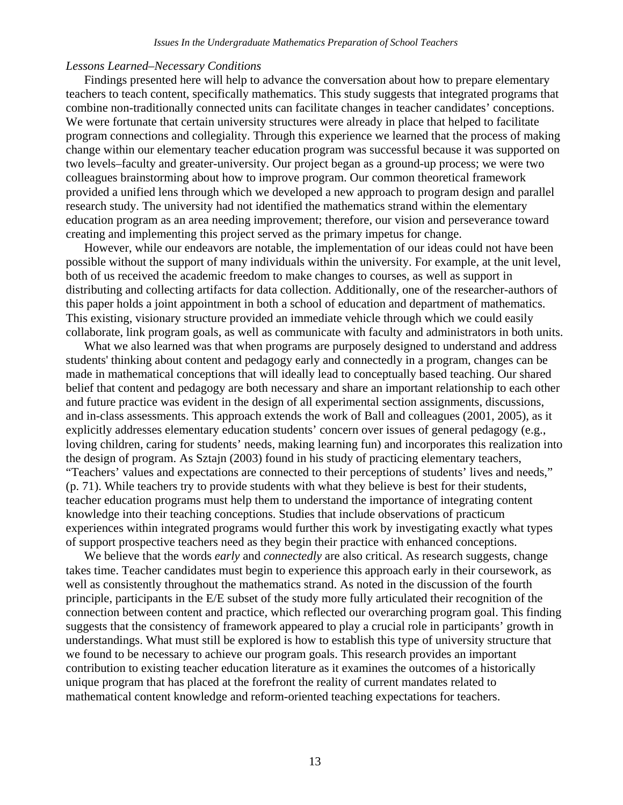# *Lessons Learned–Necessary Conditions*

Findings presented here will help to advance the conversation about how to prepare elementary teachers to teach content, specifically mathematics. This study suggests that integrated programs that combine non-traditionally connected units can facilitate changes in teacher candidates' conceptions. We were fortunate that certain university structures were already in place that helped to facilitate program connections and collegiality. Through this experience we learned that the process of making change within our elementary teacher education program was successful because it was supported on two levels–faculty and greater-university. Our project began as a ground-up process; we were two colleagues brainstorming about how to improve program. Our common theoretical framework provided a unified lens through which we developed a new approach to program design and parallel research study. The university had not identified the mathematics strand within the elementary education program as an area needing improvement; therefore, our vision and perseverance toward creating and implementing this project served as the primary impetus for change.

However, while our endeavors are notable, the implementation of our ideas could not have been possible without the support of many individuals within the university. For example, at the unit level, both of us received the academic freedom to make changes to courses, as well as support in distributing and collecting artifacts for data collection. Additionally, one of the researcher-authors of this paper holds a joint appointment in both a school of education and department of mathematics. This existing, visionary structure provided an immediate vehicle through which we could easily collaborate, link program goals, as well as communicate with faculty and administrators in both units.

What we also learned was that when programs are purposely designed to understand and address students' thinking about content and pedagogy early and connectedly in a program, changes can be made in mathematical conceptions that will ideally lead to conceptually based teaching. Our shared belief that content and pedagogy are both necessary and share an important relationship to each other and future practice was evident in the design of all experimental section assignments, discussions, and in-class assessments. This approach extends the work of Ball and colleagues (2001, 2005), as it explicitly addresses elementary education students' concern over issues of general pedagogy (e.g., loving children, caring for students' needs, making learning fun) and incorporates this realization into the design of program. As Sztajn (2003) found in his study of practicing elementary teachers, "Teachers' values and expectations are connected to their perceptions of students' lives and needs," (p. 71). While teachers try to provide students with what they believe is best for their students, teacher education programs must help them to understand the importance of integrating content knowledge into their teaching conceptions. Studies that include observations of practicum experiences within integrated programs would further this work by investigating exactly what types of support prospective teachers need as they begin their practice with enhanced conceptions.

We believe that the words *early* and *connectedly* are also critical. As research suggests, change takes time. Teacher candidates must begin to experience this approach early in their coursework, as well as consistently throughout the mathematics strand. As noted in the discussion of the fourth principle, participants in the E/E subset of the study more fully articulated their recognition of the connection between content and practice, which reflected our overarching program goal. This finding suggests that the consistency of framework appeared to play a crucial role in participants' growth in understandings. What must still be explored is how to establish this type of university structure that we found to be necessary to achieve our program goals. This research provides an important contribution to existing teacher education literature as it examines the outcomes of a historically unique program that has placed at the forefront the reality of current mandates related to mathematical content knowledge and reform-oriented teaching expectations for teachers.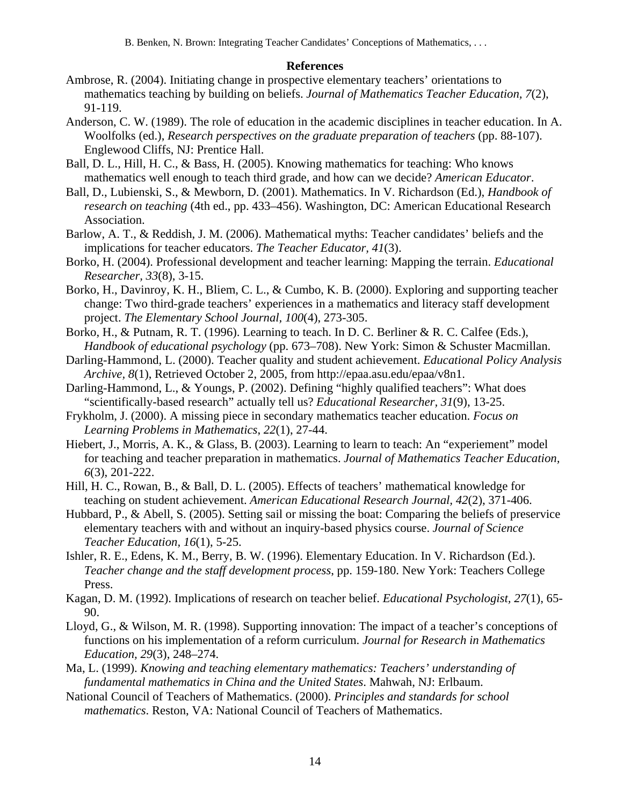B. Benken, N. Brown: Integrating Teacher Candidates' Conceptions of Mathematics, . . .

# **References**

- Ambrose, R. (2004). Initiating change in prospective elementary teachers' orientations to mathematics teaching by building on beliefs. *Journal of Mathematics Teacher Education, 7*(2), 91-119.
- Anderson, C. W. (1989). The role of education in the academic disciplines in teacher education. In A. Woolfolks (ed.), *Research perspectives on the graduate preparation of teachers* (pp. 88-107). Englewood Cliffs, NJ: Prentice Hall.
- Ball, D. L., Hill, H. C., & Bass, H. (2005). Knowing mathematics for teaching: Who knows mathematics well enough to teach third grade, and how can we decide? *American Educator*.
- Ball, D., Lubienski, S., & Mewborn, D. (2001). Mathematics. In V. Richardson (Ed.), *Handbook of research on teaching* (4th ed., pp. 433–456). Washington, DC: American Educational Research Association.
- Barlow, A. T., & Reddish, J. M. (2006). Mathematical myths: Teacher candidates' beliefs and the implications for teacher educators. *The Teacher Educator, 41*(3).
- Borko, H. (2004). Professional development and teacher learning: Mapping the terrain. *Educational Researcher, 33*(8), 3-15.
- Borko, H., Davinroy, K. H., Bliem, C. L., & Cumbo, K. B. (2000). Exploring and supporting teacher change: Two third-grade teachers' experiences in a mathematics and literacy staff development project. *The Elementary School Journal, 100*(4), 273-305.
- Borko, H., & Putnam, R. T. (1996). Learning to teach. In D. C. Berliner & R. C. Calfee (Eds.), *Handbook of educational psychology* (pp. 673–708). New York: Simon & Schuster Macmillan.
- Darling-Hammond, L. (2000). Teacher quality and student achievement. *Educational Policy Analysis Archive, 8*(1), Retrieved October 2, 2005, from http://epaa.asu.edu/epaa/v8n1.
- Darling-Hammond, L., & Youngs, P. (2002). Defining "highly qualified teachers": What does "scientifically-based research" actually tell us? *Educational Researcher, 31*(9), 13-25.
- Frykholm, J. (2000). A missing piece in secondary mathematics teacher education. *Focus on Learning Problems in Mathematics*, *22*(1), 27-44.
- Hiebert, J., Morris, A. K., & Glass, B. (2003). Learning to learn to teach: An "experiement" model for teaching and teacher preparation in mathematics. *Journal of Mathematics Teacher Education, 6*(3), 201-222.
- Hill, H. C., Rowan, B., & Ball, D. L. (2005). Effects of teachers' mathematical knowledge for teaching on student achievement. *American Educational Research Journal, 42*(2), 371-406.
- Hubbard, P., & Abell, S. (2005). Setting sail or missing the boat: Comparing the beliefs of preservice elementary teachers with and without an inquiry-based physics course. *Journal of Science Teacher Education, 16*(1), 5-25.
- Ishler, R. E., Edens, K. M., Berry, B. W. (1996). Elementary Education. In V. Richardson (Ed.). *Teacher change and the staff development process*, pp. 159-180. New York: Teachers College Press.
- Kagan, D. M. (1992). Implications of research on teacher belief. *Educational Psychologist, 27*(1), 65- 90.
- Lloyd, G., & Wilson, M. R. (1998). Supporting innovation: The impact of a teacher's conceptions of functions on his implementation of a reform curriculum. *Journal for Research in Mathematics Education, 29*(3), 248–274.
- Ma, L. (1999). *Knowing and teaching elementary mathematics: Teachers' understanding of fundamental mathematics in China and the United States*. Mahwah, NJ: Erlbaum.
- National Council of Teachers of Mathematics. (2000). *Principles and standards for school mathematics*. Reston, VA: National Council of Teachers of Mathematics.